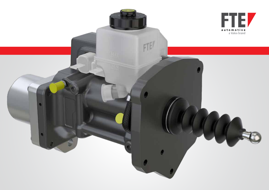